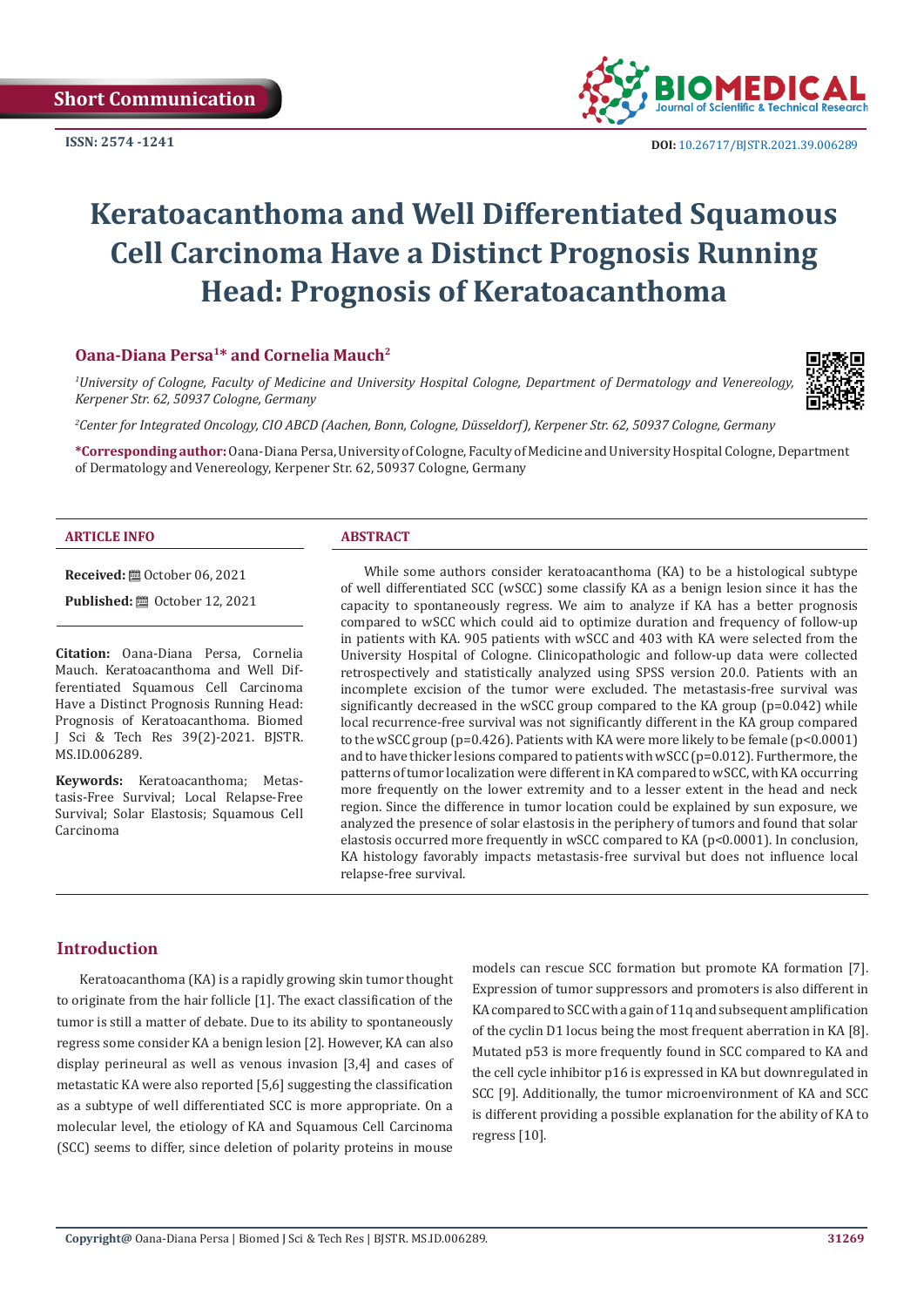**ISSN: 2574 -1241**



 **DOI:** [10.26717/BJSTR.2021.39.006289](https://dx.doi.org/10.26717/BJSTR.2021.39.006289)

# **Keratoacanthoma and Well Differentiated Squamous Cell Carcinoma Have a Distinct Prognosis Running Head: Prognosis of Keratoacanthoma**

# **Oana-Diana Persa1\* and Cornelia Mauch2**

*1 University of Cologne, Faculty of Medicine and University Hospital Cologne, Department of Dermatology and Venereology, Kerpener Str. 62, 50937 Cologne, Germany*



*2 Center for Integrated Oncology, CIO ABCD (Aachen, Bonn, Cologne, Düsseldorf), Kerpener Str. 62, 50937 Cologne, Germany*

**\*Corresponding author:** Oana-Diana Persa, University of Cologne, Faculty of Medicine and University Hospital Cologne, Department of Dermatology and Venereology, Kerpener Str. 62, 50937 Cologne, Germany

#### **ARTICLE INFO ABSTRACT**

**Received:** ■ October 06, 2021

**Published:** ■ October 12, 2021

**Citation:** Oana-Diana Persa, Cornelia Mauch. Keratoacanthoma and Well Differentiated Squamous Cell Carcinoma Have a Distinct Prognosis Running Head: Prognosis of Keratoacanthoma. Biomed J Sci & Tech Res 39(2)-2021. BJSTR. MS.ID.006289.

**Keywords:** Keratoacanthoma; Metastasis-Free Survival; Local Relapse-Free Survival; Solar Elastosis; Squamous Cell Carcinoma

While some authors consider keratoacanthoma (KA) to be a histological subtype of well differentiated SCC (wSCC) some classify KA as a benign lesion since it has the capacity to spontaneously regress. We aim to analyze if KA has a better prognosis compared to wSCC which could aid to optimize duration and frequency of follow-up in patients with KA. 905 patients with wSCC and 403 with KA were selected from the University Hospital of Cologne. Clinicopathologic and follow-up data were collected retrospectively and statistically analyzed using SPSS version 20.0. Patients with an incomplete excision of the tumor were excluded. The metastasis-free survival was significantly decreased in the wSCC group compared to the KA group  $(p=0.042)$  while local recurrence-free survival was not significantly different in the KA group compared to the wSCC group (p=0.426). Patients with KA were more likely to be female (p<0.0001) and to have thicker lesions compared to patients with wSCC ( $p=0.012$ ). Furthermore, the patterns of tumor localization were different in KA compared to wSCC, with KA occurring more frequently on the lower extremity and to a lesser extent in the head and neck region. Since the difference in tumor location could be explained by sun exposure, we analyzed the presence of solar elastosis in the periphery of tumors and found that solar elastosis occurred more frequently in wSCC compared to KA (p<0.0001). In conclusion, KA histology favorably impacts metastasis-free survival but does not influence local relapse-free survival.

# **Introduction**

Keratoacanthoma (KA) is a rapidly growing skin tumor thought to originate from the hair follicle [1]. The exact classification of the tumor is still a matter of debate. Due to its ability to spontaneously regress some consider KA a benign lesion [2]. However, KA can also display perineural as well as venous invasion [3,4] and cases of metastatic KA were also reported [5,6] suggesting the classification as a subtype of well differentiated SCC is more appropriate. On a molecular level, the etiology of KA and Squamous Cell Carcinoma (SCC) seems to differ, since deletion of polarity proteins in mouse

models can rescue SCC formation but promote KA formation [7]. Expression of tumor suppressors and promoters is also different in KA compared to SCC with a gain of 11q and subsequent amplification of the cyclin D1 locus being the most frequent aberration in KA [8]. Mutated p53 is more frequently found in SCC compared to KA and the cell cycle inhibitor p16 is expressed in KA but downregulated in SCC [9]. Additionally, the tumor microenvironment of KA and SCC is different providing a possible explanation for the ability of KA to regress [10].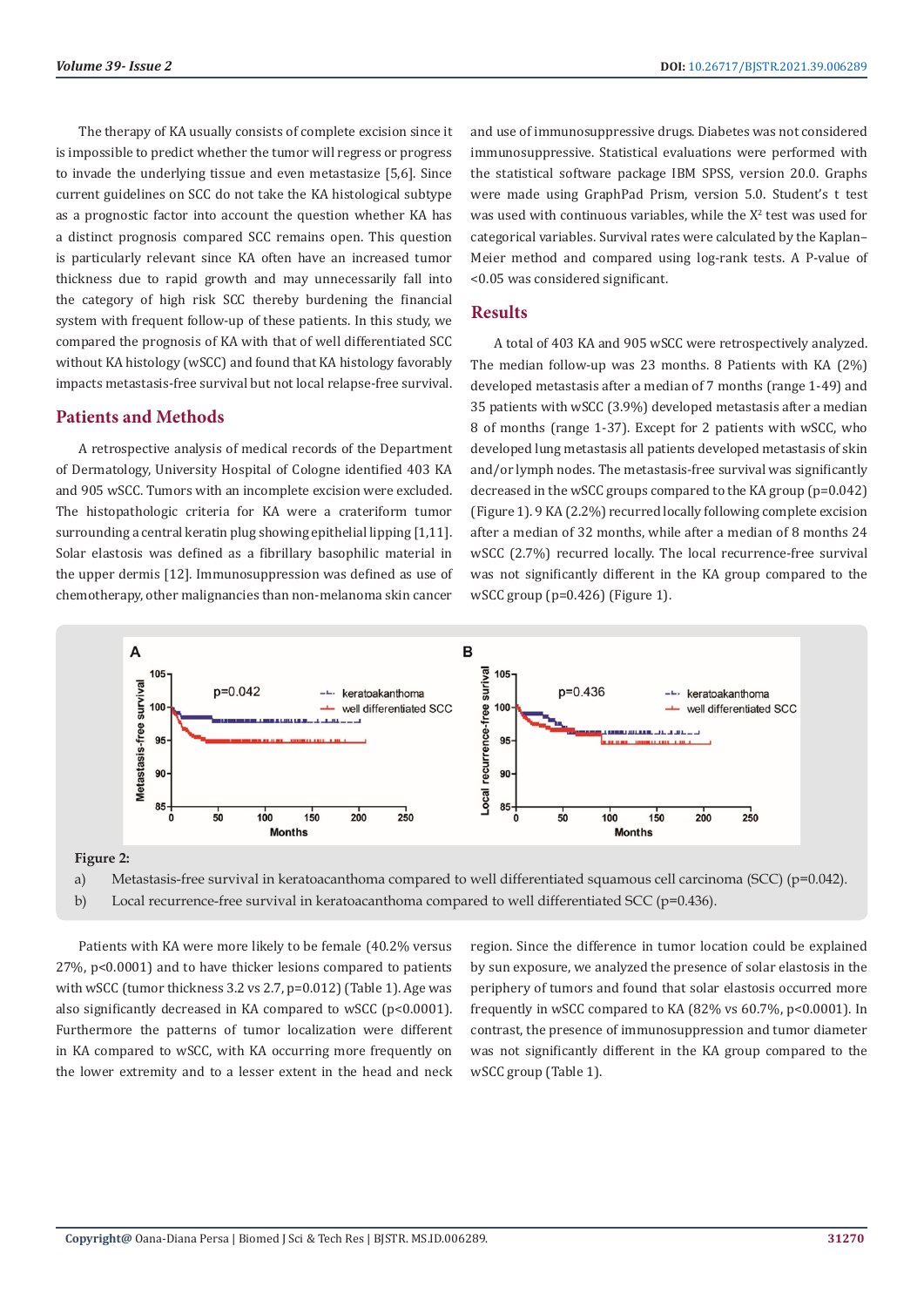The therapy of KA usually consists of complete excision since it is impossible to predict whether the tumor will regress or progress to invade the underlying tissue and even metastasize [5,6]. Since current guidelines on SCC do not take the KA histological subtype as a prognostic factor into account the question whether KA has a distinct prognosis compared SCC remains open. This question is particularly relevant since KA often have an increased tumor thickness due to rapid growth and may unnecessarily fall into the category of high risk SCC thereby burdening the financial system with frequent follow-up of these patients. In this study, we compared the prognosis of KA with that of well differentiated SCC without KA histology (wSCC) and found that KA histology favorably impacts metastasis-free survival but not local relapse-free survival.

#### **Patients and Methods**

A retrospective analysis of medical records of the Department of Dermatology, University Hospital of Cologne identified 403 KA and 905 wSCC. Tumors with an incomplete excision were excluded. The histopathologic criteria for KA were a crateriform tumor surrounding a central keratin plug showing epithelial lipping [1,11]. Solar elastosis was defined as a fibrillary basophilic material in the upper dermis [12]. Immunosuppression was defined as use of chemotherapy, other malignancies than non-melanoma skin cancer and use of immunosuppressive drugs. Diabetes was not considered immunosuppressive. Statistical evaluations were performed with the statistical software package IBM SPSS, version 20.0. Graphs were made using GraphPad Prism, version 5.0. Student's t test was used with continuous variables, while the  $X^2$  test was used for categorical variables. Survival rates were calculated by the Kaplan– Meier method and compared using log-rank tests. A P-value of <0.05 was considered significant.

#### **Results**

A total of 403 KA and 905 wSCC were retrospectively analyzed. The median follow-up was 23 months. 8 Patients with KA (2%) developed metastasis after a median of 7 months (range 1-49) and 35 patients with wSCC (3.9%) developed metastasis after a median 8 of months (range 1-37). Except for 2 patients with wSCC, who developed lung metastasis all patients developed metastasis of skin and/or lymph nodes. The metastasis-free survival was significantly decreased in the wSCC groups compared to the KA group (p=0.042) (Figure 1). 9 KA (2.2%) recurred locally following complete excision after a median of 32 months, while after a median of 8 months 24 wSCC (2.7%) recurred locally. The local recurrence-free survival was not significantly different in the KA group compared to the wSCC group (p=0.426) (Figure 1).





a) Metastasis-free survival in keratoacanthoma compared to well differentiated squamous cell carcinoma (SCC) (p=0.042).

b) Local recurrence-free survival in keratoacanthoma compared to well differentiated SCC (p=0.436).

Patients with KA were more likely to be female (40.2% versus 27%, p<0.0001) and to have thicker lesions compared to patients with wSCC (tumor thickness 3.2 vs 2.7, p=0.012) (Table 1). Age was also significantly decreased in KA compared to wSCC (p<0.0001). Furthermore the patterns of tumor localization were different in KA compared to wSCC, with KA occurring more frequently on the lower extremity and to a lesser extent in the head and neck region. Since the difference in tumor location could be explained by sun exposure, we analyzed the presence of solar elastosis in the periphery of tumors and found that solar elastosis occurred more frequently in wSCC compared to KA (82% vs 60.7%, p<0.0001). In contrast, the presence of immunosuppression and tumor diameter was not significantly different in the KA group compared to the wSCC group (Table 1).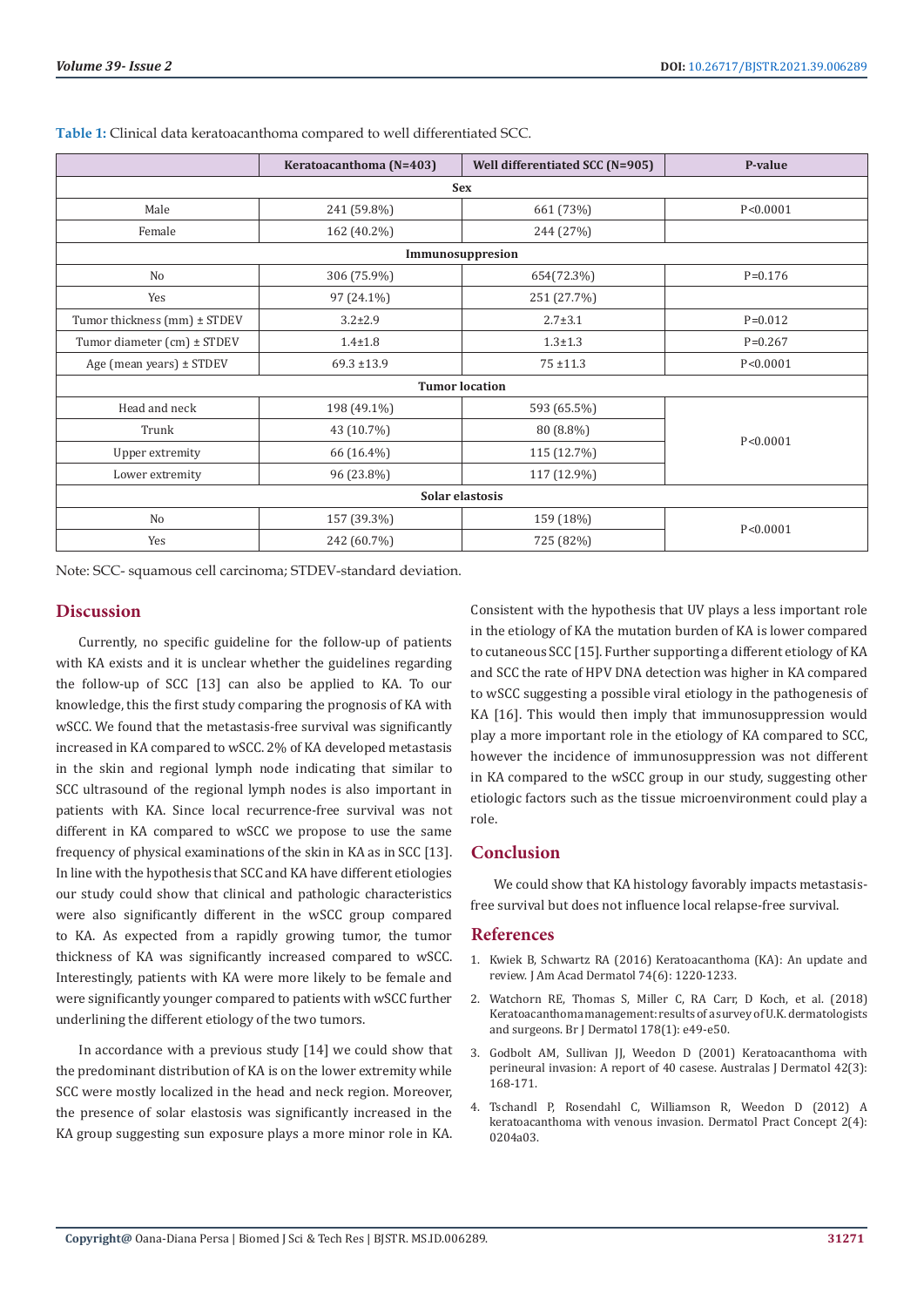|                              | Keratoacanthoma (N=403) | Well differentiated SCC (N=905) | P-value     |
|------------------------------|-------------------------|---------------------------------|-------------|
| <b>Sex</b>                   |                         |                                 |             |
| Male                         | 241 (59.8%)             | 661 (73%)                       | P < 0.0001  |
| Female                       | 162 (40.2%)             | 244 (27%)                       |             |
| Immunosuppresion             |                         |                                 |             |
| No                           | 306 (75.9%)             | 654(72.3%)                      | $P = 0.176$ |
| Yes                          | 97 (24.1%)              | 251 (27.7%)                     |             |
| Tumor thickness (mm) ± STDEV | $3.2 \pm 2.9$           | $2.7 \pm 3.1$                   | $P = 0.012$ |
| Tumor diameter (cm) ± STDEV  | $1.4 + 1.8$             | $1.3 \pm 1.3$                   | $P=0.267$   |
| Age (mean years) ± STDEV     | $69.3 \pm 13.9$         | $75 + 11.3$                     | P < 0.0001  |
| <b>Tumor location</b>        |                         |                                 |             |
| Head and neck                | 198 (49.1%)             | 593 (65.5%)                     | P < 0.0001  |
| Trunk                        | 43 (10.7%)              | 80 (8.8%)                       |             |
| Upper extremity              | 66 (16.4%)              | 115 (12.7%)                     |             |
| Lower extremity              | 96 (23.8%)              | 117 (12.9%)                     |             |
| Solar elastosis              |                         |                                 |             |
| No                           | 157 (39.3%)             | 159 (18%)                       | P < 0.0001  |
| Yes                          | 242 (60.7%)             | 725 (82%)                       |             |

**Table 1:** Clinical data keratoacanthoma compared to well differentiated SCC.

Note: SCC- squamous cell carcinoma; STDEV-standard deviation.

# **Discussion**

Currently, no specific guideline for the follow-up of patients with KA exists and it is unclear whether the guidelines regarding the follow-up of SCC [13] can also be applied to KA. To our knowledge, this the first study comparing the prognosis of KA with wSCC. We found that the metastasis-free survival was significantly increased in KA compared to wSCC. 2% of KA developed metastasis in the skin and regional lymph node indicating that similar to SCC ultrasound of the regional lymph nodes is also important in patients with KA. Since local recurrence-free survival was not different in KA compared to wSCC we propose to use the same frequency of physical examinations of the skin in KA as in SCC [13]. In line with the hypothesis that SCC and KA have different etiologies our study could show that clinical and pathologic characteristics were also significantly different in the wSCC group compared to KA. As expected from a rapidly growing tumor, the tumor thickness of KA was significantly increased compared to wSCC. Interestingly, patients with KA were more likely to be female and were significantly younger compared to patients with wSCC further underlining the different etiology of the two tumors.

In accordance with a previous study [14] we could show that the predominant distribution of KA is on the lower extremity while SCC were mostly localized in the head and neck region. Moreover, the presence of solar elastosis was significantly increased in the KA group suggesting sun exposure plays a more minor role in KA.

Consistent with the hypothesis that UV plays a less important role in the etiology of KA the mutation burden of KA is lower compared to cutaneous SCC [15]. Further supporting a different etiology of KA and SCC the rate of HPV DNA detection was higher in KA compared to wSCC suggesting a possible viral etiology in the pathogenesis of KA [16]. This would then imply that immunosuppression would play a more important role in the etiology of KA compared to SCC, however the incidence of immunosuppression was not different in KA compared to the wSCC group in our study, suggesting other etiologic factors such as the tissue microenvironment could play a role.

## **Conclusion**

We could show that KA histology favorably impacts metastasisfree survival but does not influence local relapse-free survival.

# **References**

- 1. [Kwiek B, Schwartz RA \(2016\) Keratoacanthoma \(KA\): An update and](https://pubmed.ncbi.nlm.nih.gov/26853179/) [review. J Am Acad Dermatol 74\(6\): 1220-1233.](https://pubmed.ncbi.nlm.nih.gov/26853179/)
- 2. [Watchorn RE, Thomas S, Miller C, RA Carr, D Koch, et al. \(2018\)](https://pubmed.ncbi.nlm.nih.gov/28758190/) [Keratoacanthoma management: results of a survey of U.K. dermatologists](https://pubmed.ncbi.nlm.nih.gov/28758190/) [and surgeons. Br J Dermatol 178\(1\): e49-e50.](https://pubmed.ncbi.nlm.nih.gov/28758190/)
- 3. Godbolt AM, Sullivan JJ, Weedon D (2001) Keratoacanthoma with perineural invasion: A report of 40 casese. Australas J Dermatol 42(3): 168-171.
- 4. [Tschandl P, Rosendahl C, Williamson R, Weedon D \(2012\) A](https://www.ncbi.nlm.nih.gov/pmc/articles/PMC3663370/) [keratoacanthoma with venous invasion. Dermatol Pract Concept 2\(4\):](https://www.ncbi.nlm.nih.gov/pmc/articles/PMC3663370/) [0204a03.](https://www.ncbi.nlm.nih.gov/pmc/articles/PMC3663370/)